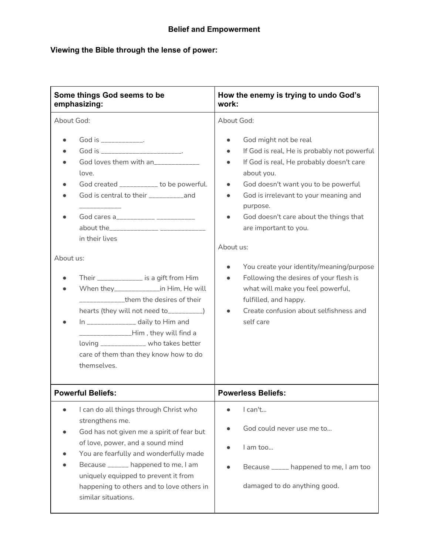### **Viewing the Bible through the lense of power:**

| Some things God seems to be                                                                                                                                                                                                                                                                                                             | How the enemy is trying to undo God's                                                                                      |
|-----------------------------------------------------------------------------------------------------------------------------------------------------------------------------------------------------------------------------------------------------------------------------------------------------------------------------------------|----------------------------------------------------------------------------------------------------------------------------|
| emphasizing:                                                                                                                                                                                                                                                                                                                            | work:                                                                                                                      |
| About God:                                                                                                                                                                                                                                                                                                                              | About God:                                                                                                                 |
| God is ______________.                                                                                                                                                                                                                                                                                                                  | God might not be real                                                                                                      |
| $\bullet$                                                                                                                                                                                                                                                                                                                               | $\bullet$                                                                                                                  |
| God is ___________________________                                                                                                                                                                                                                                                                                                      | If God is real, He is probably not powerful                                                                                |
| God loves them with an                                                                                                                                                                                                                                                                                                                  | If God is real, He probably doesn't care                                                                                   |
| love.                                                                                                                                                                                                                                                                                                                                   | about you.                                                                                                                 |
| God created __________ to be powerful.                                                                                                                                                                                                                                                                                                  | God doesn't want you to be powerful                                                                                        |
| God is central to their ___________and                                                                                                                                                                                                                                                                                                  | $\bullet$                                                                                                                  |
| God cares a___________ ___________                                                                                                                                                                                                                                                                                                      | God is irrelevant to your meaning and                                                                                      |
|                                                                                                                                                                                                                                                                                                                                         | purpose.                                                                                                                   |
| in their lives                                                                                                                                                                                                                                                                                                                          | God doesn't care about the things that                                                                                     |
| About us:                                                                                                                                                                                                                                                                                                                               | are important to you.                                                                                                      |
| Their ______________ is a gift from Him                                                                                                                                                                                                                                                                                                 | About us:                                                                                                                  |
| When they______________in Him, He will                                                                                                                                                                                                                                                                                                  | You create your identity/meaning/purpose                                                                                   |
| ______________them the desires of their                                                                                                                                                                                                                                                                                                 | $\bullet$                                                                                                                  |
| hearts (they will not need to__________)                                                                                                                                                                                                                                                                                                | Following the desires of your flesh is                                                                                     |
| In _______________ daily to Him and                                                                                                                                                                                                                                                                                                     | $\bullet$                                                                                                                  |
| ________________Him, they will find a                                                                                                                                                                                                                                                                                                   | what will make you feel powerful,                                                                                          |
| loving ____________ who takes better                                                                                                                                                                                                                                                                                                    | fulfilled, and happy.                                                                                                      |
| care of them than they know how to do                                                                                                                                                                                                                                                                                                   | Create confusion about selfishness and                                                                                     |
| themselves.                                                                                                                                                                                                                                                                                                                             | self care                                                                                                                  |
| <b>Powerful Beliefs:</b>                                                                                                                                                                                                                                                                                                                | <b>Powerless Beliefs:</b>                                                                                                  |
| I can do all things through Christ who<br>strengthens me.<br>God has not given me a spirit of fear but<br>of love, power, and a sound mind<br>You are fearfully and wonderfully made<br>Because ______ happened to me, I am<br>uniquely equipped to prevent it from<br>happening to others and to love others in<br>similar situations. | I can't<br>God could never use me to<br>I am too<br>Because _____ happened to me, I am too<br>damaged to do anything good. |